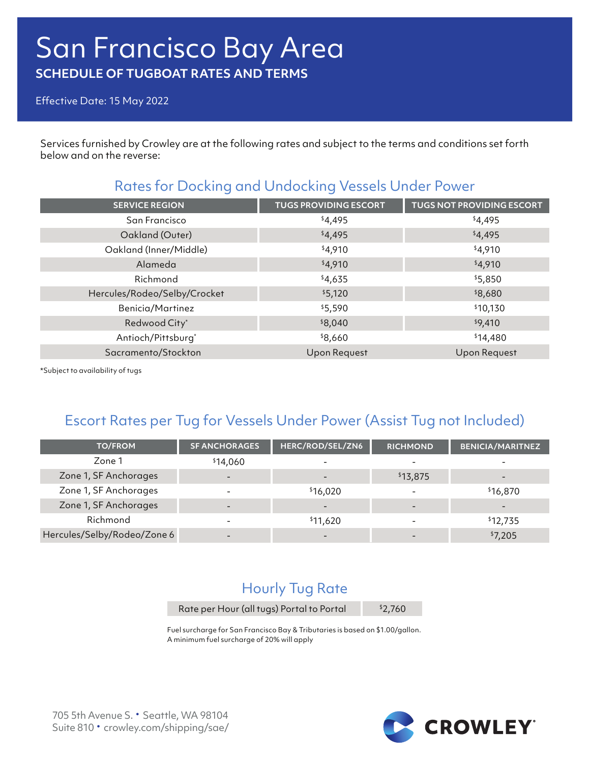# San Francisco Bay Area **SCHEDULE OF TUGBOAT RATES AND TERMS**

Effective Date: 15 May 2022

Services furnished by Crowley are at the following rates and subject to the terms and conditions set forth below and on the reverse:

### Rates for Docking and Undocking Vessels Under Power

| <b>SERVICE REGION</b>        | <b>TUGS PROVIDING ESCORT</b> | <b>TUGS NOT PROVIDING ESCORT</b> |
|------------------------------|------------------------------|----------------------------------|
| San Francisco                | \$4,495                      | \$4,495                          |
| Oakland (Outer)              | \$4,495                      | \$4,495                          |
| Oakland (Inner/Middle)       | \$4,910                      | \$4,910                          |
| Alameda                      | \$4,910                      | \$4,910                          |
| Richmond                     | \$4,635                      | \$5,850                          |
| Hercules/Rodeo/Selby/Crocket | \$5,120                      | \$8,680                          |
| <b>Benicia/Martinez</b>      | \$5,590                      | \$10,130                         |
| Redwood City*                | \$8,040                      | \$9,410                          |
| Antioch/Pittsburg*           | \$8,660                      | \$14,480                         |
| Sacramento/Stockton          | <b>Upon Request</b>          | Upon Request                     |
|                              |                              |                                  |

\*Subject to availability of tugs

## Escort Rates per Tug for Vessels Under Power (Assist Tug not Included)

| <b>TO/FROM</b>              | <b>SF ANCHORAGES</b>     | HERC/ROD/SEL/ZN6 | <b>RICHMOND</b>          | <b>BENICIA/MARITNEZ</b> |
|-----------------------------|--------------------------|------------------|--------------------------|-------------------------|
| Zone 1                      | \$14,060                 |                  |                          |                         |
| Zone 1, SF Anchorages       | $\overline{\phantom{0}}$ |                  | \$13,875                 |                         |
| Zone 1, SF Anchorages       |                          | \$16,020         |                          | \$16,870                |
| Zone 1, SF Anchorages       |                          |                  |                          |                         |
| Richmond                    | $\overline{\phantom{0}}$ | \$11,620         | $\overline{\phantom{0}}$ | \$12,735                |
| Hercules/Selby/Rodeo/Zone 6 |                          |                  |                          | \$7,205                 |

# Hourly Tug Rate

Rate per Hour (all tugs) Portal to Portal \$2,760

Fuel surcharge for San Francisco Bay & Tributaries is based on \$1.00/gallon. A minimum fuel surcharge of 20% will apply

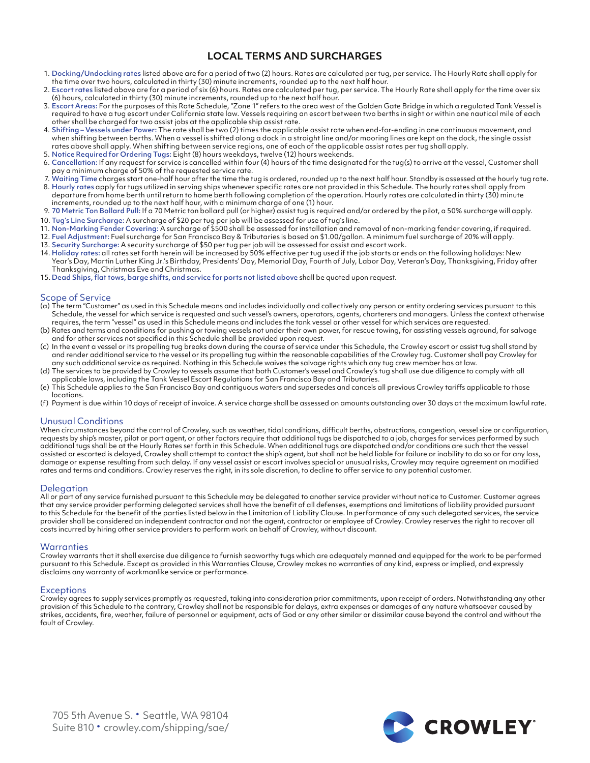### **LOCAL TERMS AND SURCHARGES**

- 1. Docking/Undocking rates listed above are for a period of two (2) hours. Rates are calculated per tug, per service. The Hourly Rate shall apply for the time over two hours, calculated in thirty (30) minute increments, rounded up to the next half hour.
- 2. Escort rates listed above are for a period of six (6) hours. Rates are calculated per tug, per service. The Hourly Rate shall apply for the time over six (6) hours, calculated in thirty (30) minute increments, rounded up to the next half hour.
- 3. Escort Areas: For the purposes of this Rate Schedule, "Zone 1" refers to the area west of the Golden Gate Bridge in which a regulated Tank Vessel is required to have a tug escort under California state law. Vessels requiring an escort between two berths in sight or within one nautical mile of each other shall be charged for two assist jobs at the applicable ship assist rate.
- 4. Shifting Vessels under Power: The rate shall be two (2) times the applicable assist rate when end-for-ending in one continuous movement, and when shifting between berths. When a vessel is shifted along a dock in a straight line and/or mooring lines are kept on the dock, the single assist rates above shall apply. When shifting between service regions, one of each of the applicable assist rates per tug shall apply.
- 5. Notice Required for Ordering Tugs: Eight (8) hours weekdays, twelve (12) hours weekends.
- 6. Cancellation: If any request for service is cancelled within four (4) hours of the time designated for the tug(s) to arrive at the vessel, Customer shall pay a minimum charge of 50% of the requested service rate.
- 7. Waiting Time charges start one-half hour after the time the tug is ordered, rounded up to the next half hour. Standby is assessed at the hourly tug rate.
- 8. Hourly rates apply for tugs utilized in serving ships whenever specific rates are not provided in this Schedule. The hourly rates shall apply from departure from home berth until return to home berth following completion of the operation. Hourly rates are calculated in thirty (30) minute increments, rounded up to the next half hour, with a minimum charge of one (1) hour.
- 9. 70 Metric Ton Bollard Pull: If a 70 Metric ton bollard pull (or higher) assist tug is required and/or ordered by the pilot, a 50% surcharge will apply.
- 10. Tug's Line Surcharge: A surcharge of \$20 per tug per job will be assessed for use of tug's line.
- 11. Non-Marking Fender Covering: A surcharge of \$500 shall be assessed for installation and removal of non-marking fender covering, if required.
- 12. Fuel Adjustment: Fuel surcharge for San Francisco Bay & Tributaries is based on \$1.00/gallon. A minimum fuel surcharge of 20% will apply.
- 13. Security Surcharge: A security surcharge of \$50 per tug per job will be assessed for assist and escort work.
- 14. Holiday rates: all rates set forth herein will be increased by 50% effective per tug used if the job starts or ends on the following holidays: New Year's Day, Martin Luther King Jr.'s Birthday, Presidents' Day, Memorial Day, Fourth of July, Labor Day, Veteran's Day, Thanksgiving, Friday after Thanksgiving, Christmas Eve and Christmas.
- 15. Dead Ships, flat tows, barge shifts, and service for ports not listed above shall be quoted upon request.

#### Scope of Service

- (a) The term "Customer" as used in this Schedule means and includes individually and collectively any person or entity ordering services pursuant to this Schedule, the vessel for which service is requested and such vessel's owners, operators, agents, charterers and managers. Unless the context otherwise requires, the term "vessel" as used in this Schedule means and includes the tank vessel or other vessel for which services are requested.
- (b) Rates and terms and conditions for pushing or towing vessels not under their own power, for rescue towing, for assisting vessels aground, for salvage and for other services not specified in this Schedule shall be provided upon request.
- (c) In the event a vessel or its propelling tug breaks down during the course of service under this Schedule, the Crowley escort or assist tug shall stand by and render additional service to the vessel or its propelling tug within the reasonable capabilities of the Crowley tug. Customer shall pay Crowley for any such additional service as required. Nothing in this Schedule waives the salvage rights which any tug crew member has at law.
- (d) The services to be provided by Crowley to vessels assume that both Customer's vessel and Crowley's tug shall use due diligence to comply with all applicable laws, including the Tank Vessel Escort Regulations for San Francisco Bay and Tributaries.
- (e) This Schedule applies to the San Francisco Bay and contiguous waters and supersedes and cancels all previous Crowley tariffs applicable to those locations.
- (f) Payment is due within 10 days of receipt of invoice. A service charge shall be assessed on amounts outstanding over 30 days at the maximum lawful rate.

#### Unusual Conditions

When circumstances beyond the control of Crowley, such as weather, tidal conditions, difficult berths, obstructions, congestion, vessel size or configuration, requests by ship's master, pilot or port agent, or other factors require that additional tugs be dispatched to a job, charges for services performed by such additional tugs shall be at the Hourly Rates set forth in this Schedule. When additional tugs are dispatched and/or conditions are such that the vessel assisted or escorted is delayed, Crowley shall attempt to contact the ship's agent, but shall not be held liable for failure or inability to do so or for any loss, damage or expense resulting from such delay. If any vessel assist or escort involves special or unusual risks, Crowley may require agreement on modified rates and terms and conditions. Crowley reserves the right, in its sole discretion, to decline to offer service to any potential customer.

#### **Delegation**

All or part of any service furnished pursuant to this Schedule may be delegated to another service provider without notice to Customer. Customer agrees that any service provider performing delegated services shall have the benefit of all defenses, exemptions and limitations of liability provided pursuant to this Schedule for the benefit of the parties listed below in the Limitation of Liability Clause. In performance of any such delegated services, the service provider shall be considered an independent contractor and not the agent, contractor or employee of Crowley. Crowley reserves the right to recover all costs incurred by hiring other service providers to perform work on behalf of Crowley, without discount.

#### **Warranties**

Crowley warrants that it shall exercise due diligence to furnish seaworthy tugs which are adequately manned and equipped for the work to be performed pursuant to this Schedule. Except as provided in this Warranties Clause, Crowley makes no warranties of any kind, express or implied, and expressly disclaims any warranty of workmanlike service or performance.

#### **Exceptions**

Crowley agrees to supply services promptly as requested, taking into consideration prior commitments, upon receipt of orders. Notwithstanding any other provision of this Schedule to the contrary, Crowley shall not be responsible for delays, extra expenses or damages of any nature whatsoever caused by strikes, accidents, fire, weather, failure of personnel or equipment, acts of God or any other similar or dissimilar cause beyond the control and without the fault of Crowley.